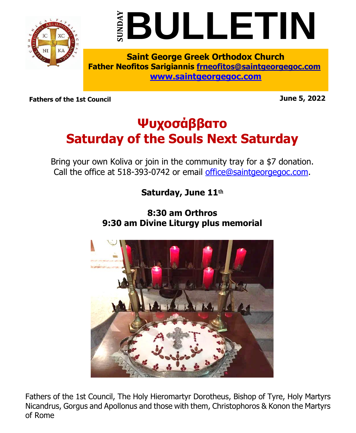



**Saint George Greek Orthodox Church Father Neofitos Sarigiannis frneofitos@saintgeorgegoc.com [www.saintgeorgegoc.com](http://www.saintgeorgegoc.com/)**

**Fathers of the 1st Council June 5, 2022**

# **Ψυχοσάββατο Saturday of the Souls Next Saturday**

Bring your own Koliva or join in the community tray for a \$7 donation. Call the office at 518-393-0742 or email [office@saintgeorgegoc.com.](mailto:office@saintgeorgegoc.com)

**Saturday, June 11**th

**8:30 am Orthros 9:30 am Divine Liturgy plus memorial**



Fathers of the 1st Council, The Holy Hieromartyr Dorotheus, Bishop of Tyre, Holy Martyrs Nicandrus, Gorgus and Apollonus and those with them, Christophoros & Konon the Martyrs of Rome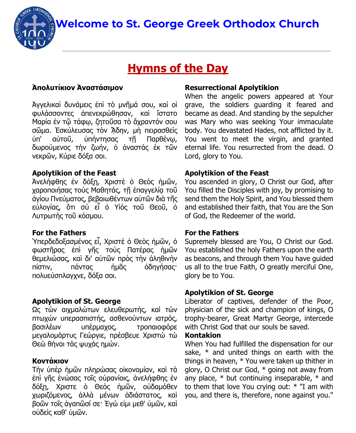**Welcome to St. George Greek Orthodox Church**



### **Hymns of the Day**

#### **Ἀπολυτίκιον Ἀναστάσιμον**

Ἀγγελικαὶ δυνάμεις ἐπὶ τὸ μνῆμά σου, καὶ οἱ φυλάσσοντες ἀπενεκρώθησαν, καὶ ἵστατο Μαρία ἐν τῷ τάφῳ, ζητοῦσα τὸ ἄχραντόν σου σῶμα. Ἐσκύλευσας τὸν ᾍδην, μὴ πειρασθεὶς ύπ' αὐτοῦ, ὑπήντησας τῆ Παρθένω, δωρούμενος τὴν ζωήν, ὁ ἀναστὰς ἐκ τῶν νεκρῶν, Κύριε δόξα σοι.

#### **Apolytikion of the Feast**

Ἀνελήφθης ἐν δόξῃ, Χριστὲ ὁ Θεὸς ἡμῶν, χαροποιήσας τοὺς Μαθητάς, τῆ ἐπαγγελία τοῦ ἁγίου Πνεύματος, βεβαιωθέντων αὐτῶν διὰ τῆς εὐλογίας, ὅτι σὺ εἶ ὁ Υἱὸς τοῦ Θεοῦ, ὁ Λυτρωτὴς τοῦ κόσμου.

#### **For the Fathers**

Ὑπερδεδοξασμένος εἶ, Χριστὲ ὁ Θεὸς ἡμῶν, ὁ φωστῆρας ἐπὶ γῆς τοὺς Πατέρας ἡμῶν θεμελιώσας, καὶ δι' αὐτῶν πρὸς τὴν ἀληθινὴν πίστιν, πάντας ἡμᾶς ὁδηγήσας· πολυεύσπλαγχνε, δόξα σοι.

#### **Apolytikion of St. George**

Ως τών αιχμαλώτων ελευθερωτής, καί τών πτωχών υπερασπιστής, ασθενούντων ιατρός, βασιλέων υπέρμαχος, τροπαιοφόρε μεγαλομάρτυς Γεώργιε, πρέσβευε Χριστώ τώ Θεώ θήναι τάς ψυχάς ημώv.

#### **Κοντάκιον**

Τὴν ὑπὲρ ἡμῶν πληρώσας οἰκονομίαν, καὶ τὰ ἐπὶ γῆς ἑνώσας τοῖς οὐρανίοις, ἀνελήφθης ἐν δόξῃ, Χριστε ὁ Θεὸς ἡμῶν, οὐδαμόθεν χωριζόμενος, ἀλλὰ μένων ἀδιάστατος, καὶ βοῶν τοῖς ἀγαπῶσί σε· Ἐγώ εἰμι μεθ' ὑμῶν, καὶ οὐδεὶς καθ' ὑμῶν.

#### **Resurrectional Apolytikion**

When the angelic powers appeared at Your grave, the soldiers guarding it feared and became as dead. And standing by the sepulcher was Mary who was seeking Your immaculate body. You devastated Hades, not afflicted by it. You went to meet the virgin, and granted eternal life. You resurrected from the dead. O Lord, glory to You.

#### **Apolytikion of the Feast**

You ascended in glory, O Christ our God, after You filled the Disciples with joy, by promising to send them the Holy Spirit, and You blessed them and established their faith, that You are the Son of God, the Redeemer of the world.

#### **For the Fathers**

Supremely blessed are You, O Christ our God. You established the holy Fathers upon the earth as beacons, and through them You have guided us all to the true Faith, O greatly merciful One, glory be to You.

#### **Apolytikion of St. George**

Liberator of captives, defender of the Poor, physician of the sick and champion of kings, O trophy-bearer, Great Martyr George, intercede with Christ God that our souls be saved.

#### **Kontakion**

When You had fulfilled the dispensation for our sake, \* and united things on earth with the things in heaven, \* You were taken up thither in glory, O Christ our God, \* going not away from any place, \* but continuing inseparable, \* and to them that love You crying out: \* "I am with you, and there is, therefore, none against you."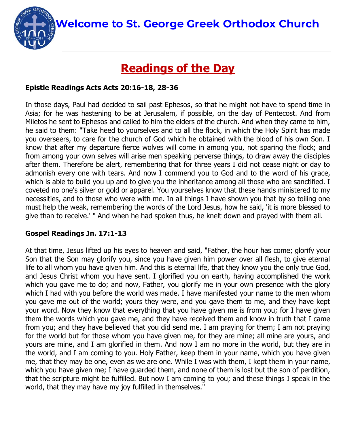**Welcome to St. George Greek Orthodox Church**



#### **Epistle Readings Acts Acts 20:16-18, 28-36**

In those days, Paul had decided to sail past Ephesos, so that he might not have to spend time in Asia; for he was hastening to be at Jerusalem, if possible, on the day of Pentecost. And from Miletos he sent to Ephesos and called to him the elders of the church. And when they came to him, he said to them: "Take heed to yourselves and to all the flock, in which the Holy Spirit has made you overseers, to care for the church of God which he obtained with the blood of his own Son. I know that after my departure fierce wolves will come in among you, not sparing the flock; and from among your own selves will arise men speaking perverse things, to draw away the disciples after them. Therefore be alert, remembering that for three years I did not cease night or day to admonish every one with tears. And now I commend you to God and to the word of his grace, which is able to build you up and to give you the inheritance among all those who are sanctified. I coveted no one's silver or gold or apparel. You yourselves know that these hands ministered to my necessities, and to those who were with me. In all things I have shown you that by so toiling one must help the weak, remembering the words of the Lord Jesus, how he said, 'it is more blessed to give than to receive.' " And when he had spoken thus, he knelt down and prayed with them all.

#### **Gospel Readings Jn. 17:1-13**

At that time, Jesus lifted up his eyes to heaven and said, "Father, the hour has come; glorify your Son that the Son may glorify you, since you have given him power over all flesh, to give eternal life to all whom you have given him. And this is eternal life, that they know you the only true God, and Jesus Christ whom you have sent. I glorified you on earth, having accomplished the work which you gave me to do; and now, Father, you glorify me in your own presence with the glory which I had with you before the world was made. I have manifested your name to the men whom you gave me out of the world; yours they were, and you gave them to me, and they have kept your word. Now they know that everything that you have given me is from you; for I have given them the words which you gave me, and they have received them and know in truth that I came from you; and they have believed that you did send me. I am praying for them; I am not praying for the world but for those whom you have given me, for they are mine; all mine are yours, and yours are mine, and I am glorified in them. And now I am no more in the world, but they are in the world, and I am coming to you. Holy Father, keep them in your name, which you have given me, that they may be one, even as we are one. While I was with them, I kept them in your name, which you have given me; I have guarded them, and none of them is lost but the son of perdition, that the scripture might be fulfilled. But now I am coming to you; and these things I speak in the world, that they may have my joy fulfilled in themselves."